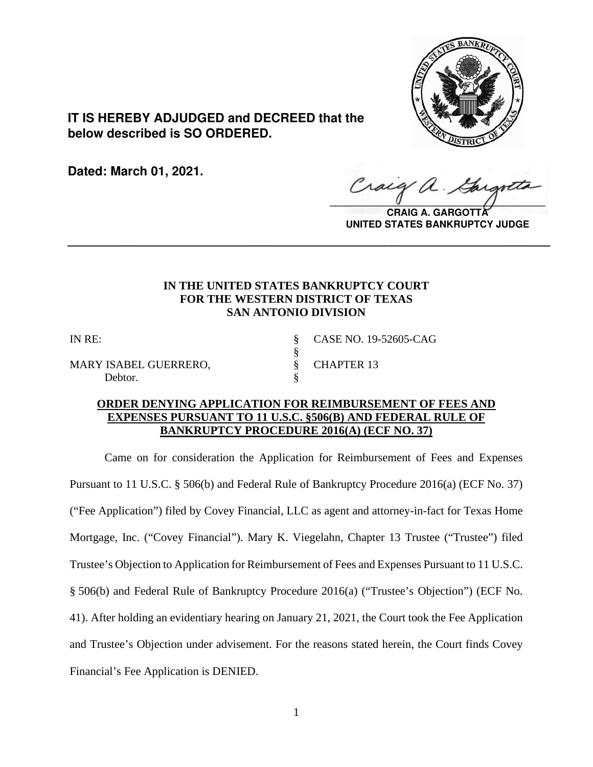

**IT IS HEREBY ADJUDGED and DECREED that the below described is SO ORDERED.**

**Dated: March 01, 2021.**

 $\sqrt{2}$ 

**CRAIG A. GARGOTTA UNITED STATES BANKRUPTCY JUDGE**

# **IN THE UNITED STATES BANKRUPTCY COURT FOR THE WESTERN DISTRICT OF TEXAS SAN ANTONIO DIVISION**

**\_\_\_\_\_\_\_\_\_\_\_\_\_\_\_\_\_\_\_\_\_\_\_\_\_\_\_\_\_\_\_\_\_\_\_\_\_\_\_\_\_\_\_\_\_\_\_\_\_\_\_\_\_\_\_\_\_\_\_\_\_\_\_\_**

§

MARY ISABEL GUERRERO, § CHAPTER 13 Debtor.

IN RE: § CASE NO. 19-52605-CAG

## **ORDER DENYING APPLICATION FOR REIMBURSEMENT OF FEES AND EXPENSES PURSUANT TO 11 U.S.C. §506(B) AND FEDERAL RULE OF BANKRUPTCY PROCEDURE 2016(A) (ECF NO. 37)**

Came on for consideration the Application for Reimbursement of Fees and Expenses Pursuant to 11 U.S.C. § 506(b) and Federal Rule of Bankruptcy Procedure 2016(a) (ECF No. 37) ("Fee Application") filed by Covey Financial, LLC as agent and attorney-in-fact for Texas Home Mortgage, Inc. ("Covey Financial"). Mary K. Viegelahn, Chapter 13 Trustee ("Trustee") filed Trustee's Objection to Application for Reimbursement of Fees and Expenses Pursuant to 11 U.S.C. § 506(b) and Federal Rule of Bankruptcy Procedure 2016(a) ("Trustee's Objection") (ECF No. 41). After holding an evidentiary hearing on January 21, 2021, the Court took the Fee Application and Trustee's Objection under advisement. For the reasons stated herein, the Court finds Covey Financial's Fee Application is DENIED.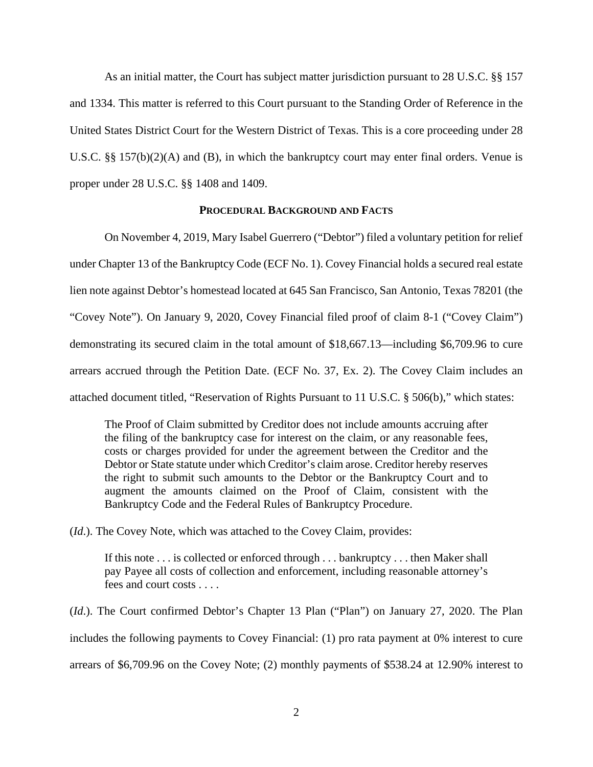As an initial matter, the Court has subject matter jurisdiction pursuant to 28 U.S.C. §§ 157 and 1334. This matter is referred to this Court pursuant to the Standing Order of Reference in the United States District Court for the Western District of Texas. This is a core proceeding under 28 U.S.C. §§ 157(b)(2)(A) and (B), in which the bankruptcy court may enter final orders. Venue is proper under 28 U.S.C. §§ 1408 and 1409.

### **PROCEDURAL BACKGROUND AND FACTS**

On November 4, 2019, Mary Isabel Guerrero ("Debtor") filed a voluntary petition for relief under Chapter 13 of the Bankruptcy Code (ECF No. 1). Covey Financial holds a secured real estate lien note against Debtor's homestead located at 645 San Francisco, San Antonio, Texas 78201 (the "Covey Note"). On January 9, 2020, Covey Financial filed proof of claim 8-1 ("Covey Claim") demonstrating its secured claim in the total amount of \$18,667.13—including \$6,709.96 to cure arrears accrued through the Petition Date. (ECF No. 37, Ex. 2). The Covey Claim includes an attached document titled, "Reservation of Rights Pursuant to 11 U.S.C. § 506(b)," which states:

The Proof of Claim submitted by Creditor does not include amounts accruing after the filing of the bankruptcy case for interest on the claim, or any reasonable fees, costs or charges provided for under the agreement between the Creditor and the Debtor or State statute under which Creditor's claim arose. Creditor hereby reserves the right to submit such amounts to the Debtor or the Bankruptcy Court and to augment the amounts claimed on the Proof of Claim, consistent with the Bankruptcy Code and the Federal Rules of Bankruptcy Procedure.

(*Id*.). The Covey Note, which was attached to the Covey Claim, provides:

If this note . . . is collected or enforced through . . . bankruptcy . . . then Maker shall pay Payee all costs of collection and enforcement, including reasonable attorney's fees and court costs . . . .

(*Id*.). The Court confirmed Debtor's Chapter 13 Plan ("Plan") on January 27, 2020. The Plan includes the following payments to Covey Financial: (1) pro rata payment at 0% interest to cure arrears of \$6,709.96 on the Covey Note; (2) monthly payments of \$538.24 at 12.90% interest to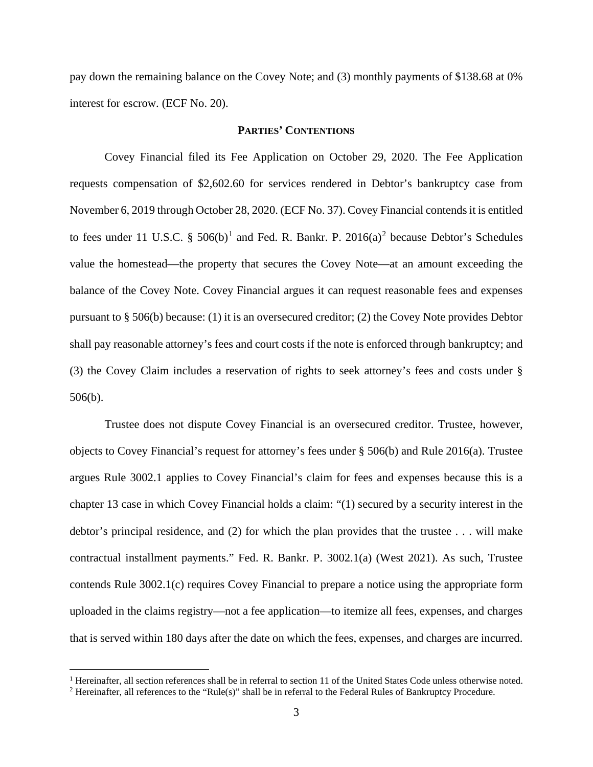pay down the remaining balance on the Covey Note; and (3) monthly payments of \$138.68 at 0% interest for escrow. (ECF No. 20).

## **PARTIES' CONTENTIONS**

Covey Financial filed its Fee Application on October 29, 2020. The Fee Application requests compensation of \$2,602.60 for services rendered in Debtor's bankruptcy case from November 6, 2019 through October 28, 2020. (ECF No. 37). Covey Financial contends it is entitled to fees under [1](#page-2-0)1 U.S.C. §  $506(b)^1$  and Fed. R. Bankr. P.  $2016(a)^2$  $2016(a)^2$  because Debtor's Schedules value the homestead—the property that secures the Covey Note—at an amount exceeding the balance of the Covey Note. Covey Financial argues it can request reasonable fees and expenses pursuant to § 506(b) because: (1) it is an oversecured creditor; (2) the Covey Note provides Debtor shall pay reasonable attorney's fees and court costs if the note is enforced through bankruptcy; and (3) the Covey Claim includes a reservation of rights to seek attorney's fees and costs under § 506(b).

Trustee does not dispute Covey Financial is an oversecured creditor. Trustee, however, objects to Covey Financial's request for attorney's fees under § 506(b) and Rule 2016(a). Trustee argues Rule 3002.1 applies to Covey Financial's claim for fees and expenses because this is a chapter 13 case in which Covey Financial holds a claim: "(1) secured by a security interest in the debtor's principal residence, and (2) for which the plan provides that the trustee . . . will make contractual installment payments." Fed. R. Bankr. P. 3002.1(a) (West 2021). As such, Trustee contends Rule 3002.1(c) requires Covey Financial to prepare a notice using the appropriate form uploaded in the claims registry—not a fee application—to itemize all fees, expenses, and charges that is served within 180 days after the date on which the fees, expenses, and charges are incurred.

<span id="page-2-0"></span><sup>&</sup>lt;sup>1</sup> Hereinafter, all section references shall be in referral to section 11 of the United States Code unless otherwise noted.

<span id="page-2-1"></span><sup>2</sup> Hereinafter, all references to the "Rule(s)" shall be in referral to the Federal Rules of Bankruptcy Procedure.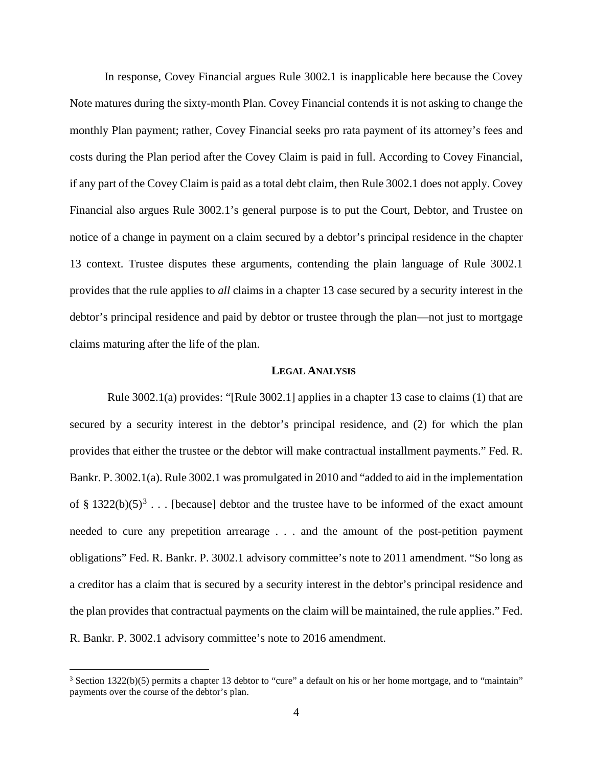In response, Covey Financial argues Rule 3002.1 is inapplicable here because the Covey Note matures during the sixty-month Plan. Covey Financial contends it is not asking to change the monthly Plan payment; rather, Covey Financial seeks pro rata payment of its attorney's fees and costs during the Plan period after the Covey Claim is paid in full. According to Covey Financial, if any part of the Covey Claim is paid as a total debt claim, then Rule 3002.1 does not apply. Covey Financial also argues Rule 3002.1's general purpose is to put the Court, Debtor, and Trustee on notice of a change in payment on a claim secured by a debtor's principal residence in the chapter 13 context. Trustee disputes these arguments, contending the plain language of Rule 3002.1 provides that the rule applies to *all* claims in a chapter 13 case secured by a security interest in the debtor's principal residence and paid by debtor or trustee through the plan—not just to mortgage claims maturing after the life of the plan.

### **LEGAL ANALYSIS**

Rule 3002.1(a) provides: "[Rule 3002.1] applies in a chapter 13 case to claims (1) that are secured by a security interest in the debtor's principal residence, and (2) for which the plan provides that either the trustee or the debtor will make contractual installment payments." Fed. R. Bankr. P. 3002.1(a). Rule 3002.1 was promulgated in 2010 and "added to aid in the implementation of § 1[3](#page-3-0)22(b)(5)<sup>3</sup>... [because] debtor and the trustee have to be informed of the exact amount needed to cure any prepetition arrearage . . . and the amount of the post-petition payment obligations" Fed. R. Bankr. P. 3002.1 advisory committee's note to 2011 amendment. "So long as a creditor has a claim that is secured by a security interest in the debtor's principal residence and the plan provides that contractual payments on the claim will be maintained, the rule applies." Fed. R. Bankr. P. 3002.1 advisory committee's note to 2016 amendment.

<span id="page-3-0"></span><sup>&</sup>lt;sup>3</sup> Section 1322(b)(5) permits a chapter 13 debtor to "cure" a default on his or her home mortgage, and to "maintain" payments over the course of the debtor's plan.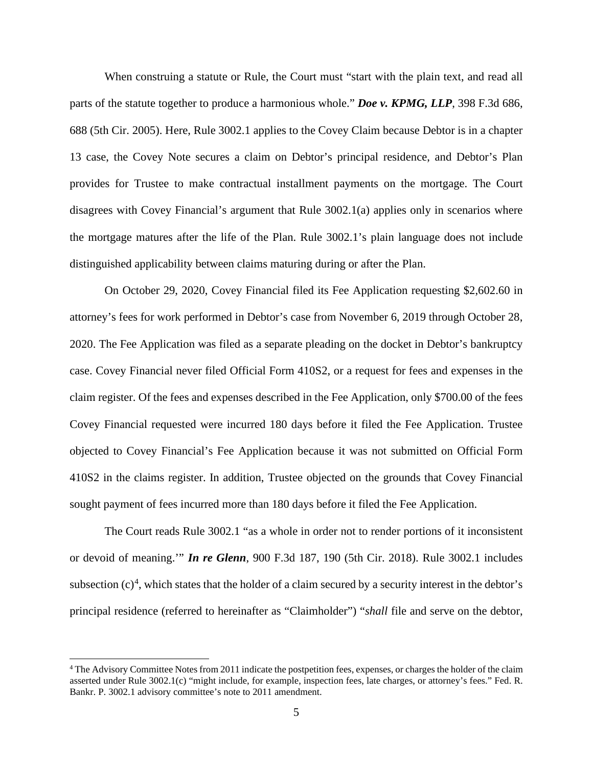When construing a statute or Rule, the Court must "start with the plain text, and read all parts of the statute together to produce a harmonious whole." *Doe v. KPMG, LLP*, 398 F.3d 686, 688 (5th Cir. 2005). Here, Rule 3002.1 applies to the Covey Claim because Debtor is in a chapter 13 case, the Covey Note secures a claim on Debtor's principal residence, and Debtor's Plan provides for Trustee to make contractual installment payments on the mortgage. The Court disagrees with Covey Financial's argument that Rule 3002.1(a) applies only in scenarios where the mortgage matures after the life of the Plan. Rule 3002.1's plain language does not include distinguished applicability between claims maturing during or after the Plan.

On October 29, 2020, Covey Financial filed its Fee Application requesting \$2,602.60 in attorney's fees for work performed in Debtor's case from November 6, 2019 through October 28, 2020. The Fee Application was filed as a separate pleading on the docket in Debtor's bankruptcy case. Covey Financial never filed Official Form 410S2, or a request for fees and expenses in the claim register. Of the fees and expenses described in the Fee Application, only \$700.00 of the fees Covey Financial requested were incurred 180 days before it filed the Fee Application. Trustee objected to Covey Financial's Fee Application because it was not submitted on Official Form 410S2 in the claims register. In addition, Trustee objected on the grounds that Covey Financial sought payment of fees incurred more than 180 days before it filed the Fee Application.

The Court reads Rule 3002.1 "as a whole in order not to render portions of it inconsistent or devoid of meaning.'" *In re Glenn*, 900 F.3d 187, 190 (5th Cir. 2018). Rule 3002.1 includes subsection  $(c)^4$  $(c)^4$ , which states that the holder of a claim secured by a security interest in the debtor's principal residence (referred to hereinafter as "Claimholder") "*shall* file and serve on the debtor,

<span id="page-4-0"></span><sup>4</sup> The Advisory Committee Notes from 2011 indicate the postpetition fees, expenses, or charges the holder of the claim asserted under Rule 3002.1(c) "might include, for example, inspection fees, late charges, or attorney's fees." Fed. R. Bankr. P. 3002.1 advisory committee's note to 2011 amendment.